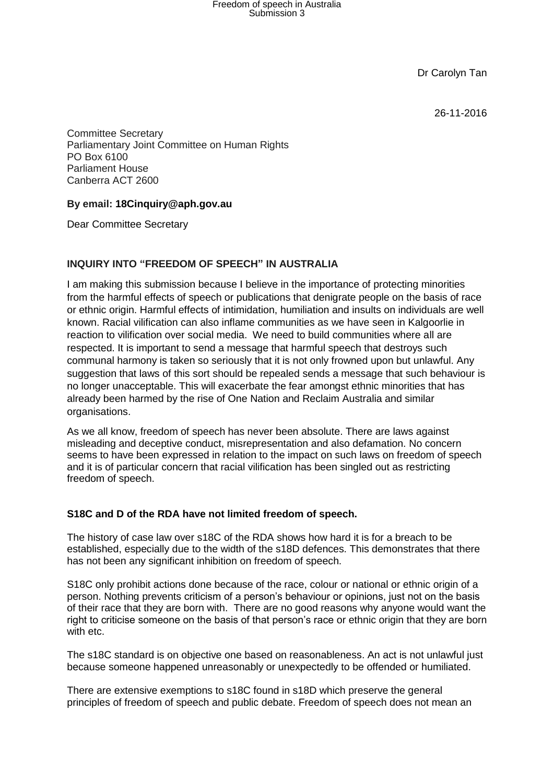Dr Carolyn Tan

26-11-2016

Committee Secretary Parliamentary Joint Committee on Human Rights PO Box 6100 Parliament House Canberra ACT 2600

## **By email: [18Cinquiry@aph.gov.au](mailto:18Cinquiry@aph.gov.au)**

Dear Committee Secretary

## **INQUIRY INTO "FREEDOM OF SPEECH" IN AUSTRALIA**

I am making this submission because I believe in the importance of protecting minorities from the harmful effects of speech or publications that denigrate people on the basis of race or ethnic origin. Harmful effects of intimidation, humiliation and insults on individuals are well known. Racial vilification can also inflame communities as we have seen in Kalgoorlie in reaction to vilification over social media. We need to build communities where all are respected. It is important to send a message that harmful speech that destroys such communal harmony is taken so seriously that it is not only frowned upon but unlawful. Any suggestion that laws of this sort should be repealed sends a message that such behaviour is no longer unacceptable. This will exacerbate the fear amongst ethnic minorities that has already been harmed by the rise of One Nation and Reclaim Australia and similar organisations.

As we all know, freedom of speech has never been absolute. There are laws against misleading and deceptive conduct, misrepresentation and also defamation. No concern seems to have been expressed in relation to the impact on such laws on freedom of speech and it is of particular concern that racial vilification has been singled out as restricting freedom of speech.

### **S18C and D of the RDA have not limited freedom of speech.**

The history of case law over s18C of the RDA shows how hard it is for a breach to be established, especially due to the width of the s18D defences. This demonstrates that there has not been any significant inhibition on freedom of speech.

S18C only prohibit actions done because of the race, colour or national or ethnic origin of a person. Nothing prevents criticism of a person's behaviour or opinions, just not on the basis of their race that they are born with. There are no good reasons why anyone would want the right to criticise someone on the basis of that person's race or ethnic origin that they are born with etc.

The s18C standard is on objective one based on reasonableness. An act is not unlawful just because someone happened unreasonably or unexpectedly to be offended or humiliated.

There are extensive exemptions to s18C found in s18D which preserve the general principles of freedom of speech and public debate. Freedom of speech does not mean an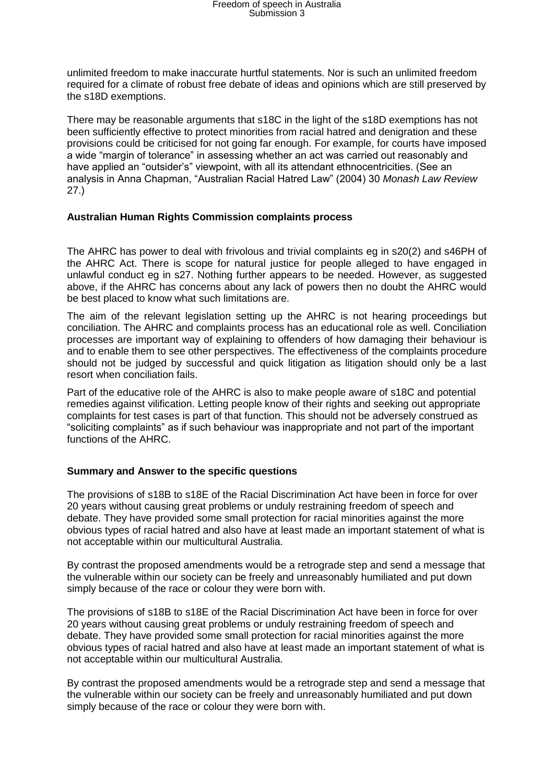# Freedom of speech in Australia Submission 3

unlimited freedom to make inaccurate hurtful statements. Nor is such an unlimited freedom required for a climate of robust free debate of ideas and opinions which are still preserved by the s18D exemptions.

There may be reasonable arguments that s18C in the light of the s18D exemptions has not been sufficiently effective to protect minorities from racial hatred and denigration and these provisions could be criticised for not going far enough. For example, for courts have imposed a wide "margin of tolerance" in assessing whether an act was carried out reasonably and have applied an "outsider's" viewpoint, with all its attendant ethnocentricities. (See an analysis in Anna Chapman, "Australian Racial Hatred Law" (2004) 30 *Monash Law Review* 27.)

#### **Australian Human Rights Commission complaints process**

The AHRC has power to deal with frivolous and trivial complaints eg in s20(2) and s46PH of the AHRC Act. There is scope for natural justice for people alleged to have engaged in unlawful conduct eg in s27. Nothing further appears to be needed. However, as suggested above, if the AHRC has concerns about any lack of powers then no doubt the AHRC would be best placed to know what such limitations are.

The aim of the relevant legislation setting up the AHRC is not hearing proceedings but conciliation. The AHRC and complaints process has an educational role as well. Conciliation processes are important way of explaining to offenders of how damaging their behaviour is and to enable them to see other perspectives. The effectiveness of the complaints procedure should not be judged by successful and quick litigation as litigation should only be a last resort when conciliation fails.

Part of the educative role of the AHRC is also to make people aware of s18C and potential remedies against vilification. Letting people know of their rights and seeking out appropriate complaints for test cases is part of that function. This should not be adversely construed as "soliciting complaints" as if such behaviour was inappropriate and not part of the important functions of the AHRC.

### **Summary and Answer to the specific questions**

The provisions of s18B to s18E of the Racial Discrimination Act have been in force for over 20 years without causing great problems or unduly restraining freedom of speech and debate. They have provided some small protection for racial minorities against the more obvious types of racial hatred and also have at least made an important statement of what is not acceptable within our multicultural Australia.

By contrast the proposed amendments would be a retrograde step and send a message that the vulnerable within our society can be freely and unreasonably humiliated and put down simply because of the race or colour they were born with.

The provisions of s18B to s18E of the Racial Discrimination Act have been in force for over 20 years without causing great problems or unduly restraining freedom of speech and debate. They have provided some small protection for racial minorities against the more obvious types of racial hatred and also have at least made an important statement of what is not acceptable within our multicultural Australia.

By contrast the proposed amendments would be a retrograde step and send a message that the vulnerable within our society can be freely and unreasonably humiliated and put down simply because of the race or colour they were born with.